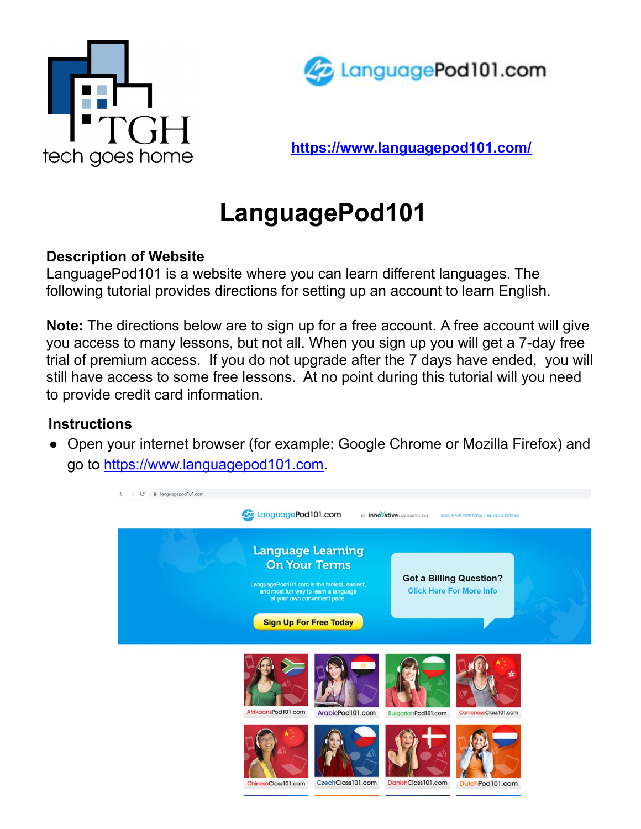



**<https://www.languagepod101.com/>**

## **LanguagePod101**

## **Description of Website**

LanguagePod101 is a website where you can learn different languages. The following tutorial provides directions for setting up an account to learn English.

**Note:** The directions below are to sign up for a free account. A free account will give you access to many lessons, but not all. When you sign up you will get a 7-day free trial of premium access. If you do not upgrade after the 7 days have ended, you will still have access to some free lessons. At no point during this tutorial will you need to provide credit card information.

## **Instructions**

● Open your internet browser (for example: Google Chrome or Mozilla Firefox) and go to<https://www.languagepod101.com>.

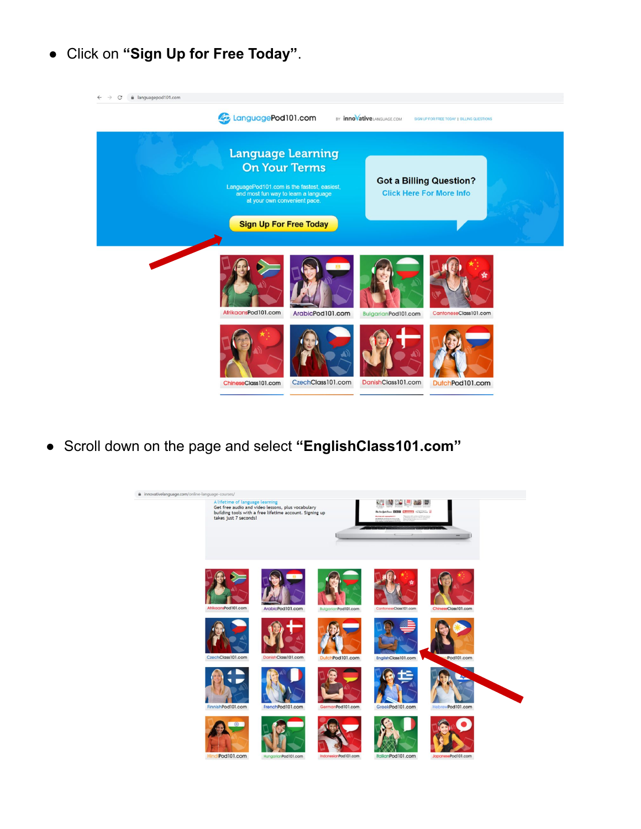● Click on **"Sign Up for Free Today"**.



● Scroll down on the page and select **"EnglishClass101.com"**

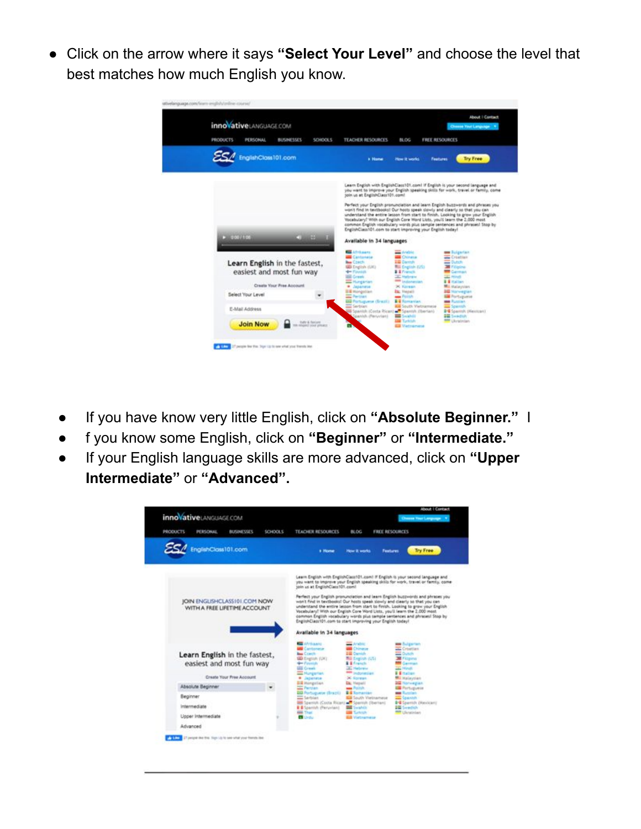● Click on the arrow where it says **"Select Your Level"** and choose the level that best matches how much English you know.

| <b>innovative</b> LANGUAGE.COM<br><b>PRODUCTS</b><br>PERSONAL<br><b>BUSINESSES</b>                  | SCHOOLS                   | <b>TEACHER RESOURCES</b>                                                                                                                                                                                                                                                                                                                   | <b>BLOG</b>                                                                                                                                                               | <b>FREE RESOURCES</b> | About I Contact<br>Cheese Your Language                                                                                                                                                                                                                                                                                          |
|-----------------------------------------------------------------------------------------------------|---------------------------|--------------------------------------------------------------------------------------------------------------------------------------------------------------------------------------------------------------------------------------------------------------------------------------------------------------------------------------------|---------------------------------------------------------------------------------------------------------------------------------------------------------------------------|-----------------------|----------------------------------------------------------------------------------------------------------------------------------------------------------------------------------------------------------------------------------------------------------------------------------------------------------------------------------|
| EnglishClass101.com                                                                                 |                           | k Home                                                                                                                                                                                                                                                                                                                                     | <b>How it works</b>                                                                                                                                                       | <b>Features</b>       | <b>Try Free</b>                                                                                                                                                                                                                                                                                                                  |
|                                                                                                     |                           | soln us at EnglishClass101.com/                                                                                                                                                                                                                                                                                                            |                                                                                                                                                                           |                       | Learn English with EnglishClass101.com! If English is your second language and<br>you want to improve your English speaking skills for work, travel or family, come                                                                                                                                                              |
| $-000/100$<br>Learn English in the fastest,<br>easiest and most fun way<br>Create Your Free Account | ш                         | Vocabulary! With our English Core Word Lists, you'll learn the 2,000 most<br>EnglishClass101.com to start improving your English today!<br>Available in 34 languages<br><b>COLLARSHIPS</b><br><b>Cantanese</b><br><b>Bay Coach</b><br><b>US English (UK)</b><br><b>Geo Finanzia</b><br><b>Sill</b> Creek<br><b>Rengarian</b><br>· Japanese | <b>Controller</b><br><b>Chinese</b><br><b>IS Carrists</b><br><b>Bill English JUSS</b><br><b>E E</b> Francis<br><b>T. Hallman</b><br><b>METALOGICAL</b><br><b>X Korean</b> |                       | understand the entire lesson from start to finish. Looking to grow your English<br>common English vocabulary words plus sample sentences and phrases! Stop by<br><b>Bar Bulgarian</b><br>Creatian<br><b>College</b><br><b>M</b> Filipine<br><b>Carman</b><br><b>SEC Hough</b><br><b>B &amp; Hallace</b><br><b>Mill Malaystan</b> |
| Select Your Level                                                                                   |                           | <b>IEW Mongolian</b><br><b>Contract Contract</b><br><b>GG</b> Portuguena (Snazil)                                                                                                                                                                                                                                                          | <b>Dr.</b> Heneld<br><b>Collabo</b><br><b>E &amp; Romanian</b>                                                                                                            |                       | <b>Big Manwegian</b><br><b>EM</b> Portuguese<br><b>Mary Provident</b>                                                                                                                                                                                                                                                            |
| E-Mail Address                                                                                      | <b>Tuite &amp; Nelses</b> | <b>Sarbian</b><br>Spanish (Costa Rican) - Spanish (Iberlan)<br>Spanish (Peruvian)                                                                                                                                                                                                                                                          | <b>RSI</b> South Vietnamese<br><b>Controller</b><br><b>CONTRACTOR</b>                                                                                                     |                       | <b>THE SQUARES</b><br><b>B-E</b> Spanish, placement<br><b>SEE</b> Swedish<br><b>MM</b> Chrainian                                                                                                                                                                                                                                 |

- If you have know very little English, click on **"Absolute Beginner."** I
- f you know some English, click on **"Beginner"** or **"Intermediate."**
- If your English language skills are more advanced, click on **"Upper Intermediate"** or **"Advanced".**

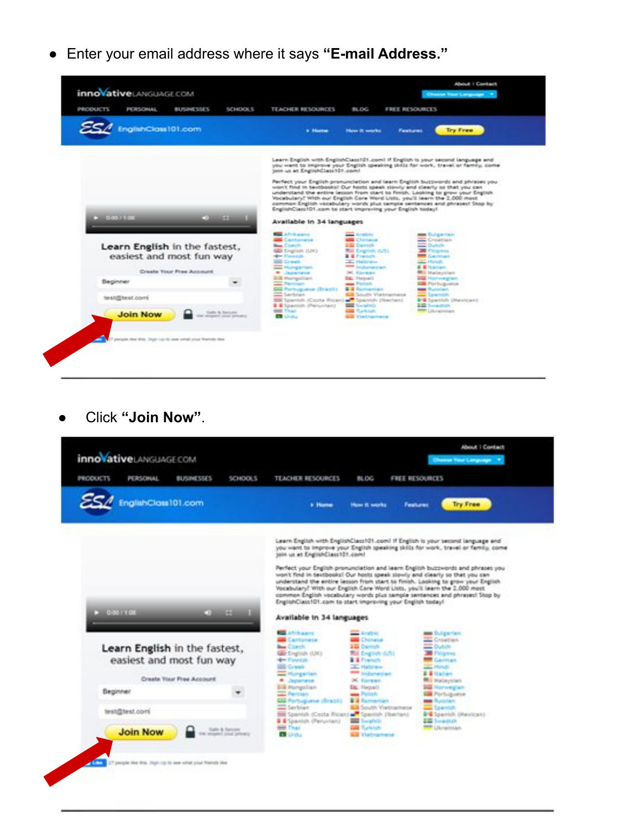● Enter your email address where it says **"E-mail Address."**



● Click **"Join Now"**.

![](_page_3_Picture_3.jpeg)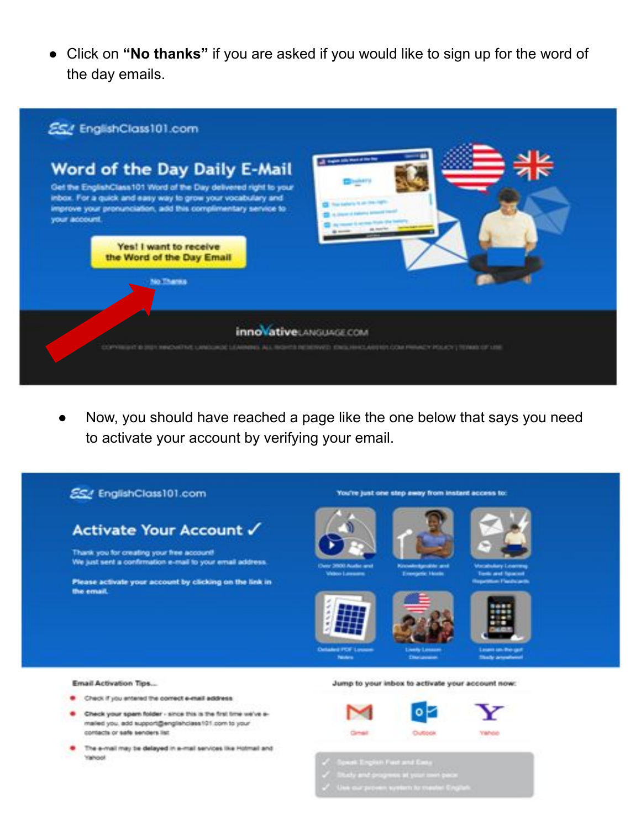● Click on **"No thanks"** if you are asked if you would like to sign up for the word of the day emails.

![](_page_4_Figure_1.jpeg)

● Now, you should have reached a page like the one below that says you need to activate your account by verifying your email.

![](_page_4_Figure_3.jpeg)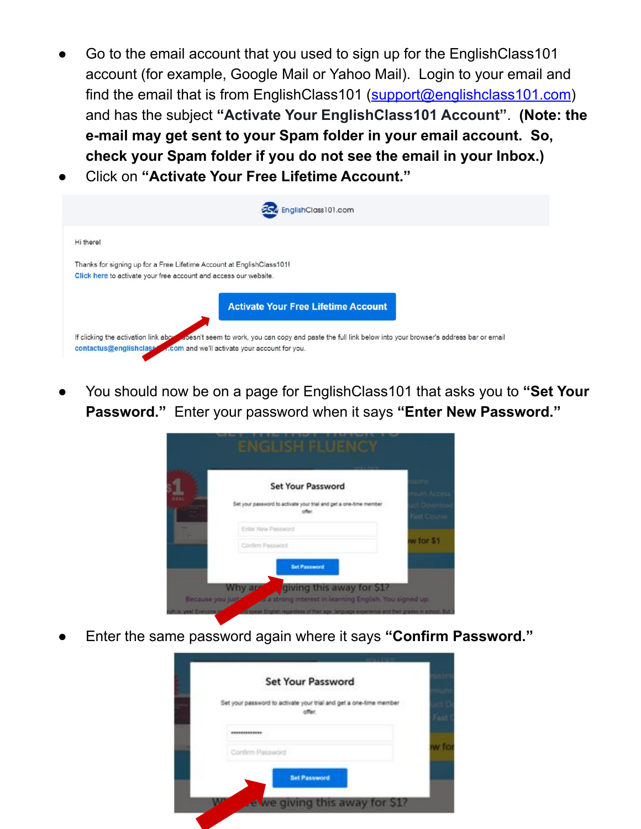- Go to the email account that you used to sign up for the EnglishClass101 account (for example, Google Mail or Yahoo Mail). Login to your email and find the email that is from EnglishClass101 ([support@englishclass101.com\)](mailto:support@englishclass101.com) and has the subject **"Activate Your EnglishClass101 Account"**. **(Note: the e-mail may get sent to your Spam folder in your email account. So, check your Spam folder if you do not see the email in your Inbox.)**
- **Click on "Activate Your Free Lifetime Account."**

|                                                                                                                                           | EnglishClass101.com                                                                                                                              |
|-------------------------------------------------------------------------------------------------------------------------------------------|--------------------------------------------------------------------------------------------------------------------------------------------------|
| Hi there!                                                                                                                                 |                                                                                                                                                  |
| Thanks for signing up for a Free Lifetime Account at EnglishClass101!<br>Click here to activate your free account and access our website. | <b>Activate Your Free Lifetime Account</b>                                                                                                       |
| contactus@englishclass  com and we'll activate your account for you.                                                                      | If clicking the activation link above a pesn't seem to work, you can copy and paste the full link below into your browser's address bar or email |

● You should now be on a page for EnglishClass101 that asks you to **"Set Your Password."** Enter your password when it says **"Enter New Password."**

| <b>Set Your Password</b>                                           |           |
|--------------------------------------------------------------------|-----------|
| Set your password to activate your trial and get a one-time member |           |
| Enter New Password                                                 |           |
| Continn Password                                                   | w for \$1 |

Enter the same password again where it says "Confirm Password."

|                  | <b>Set Your Password</b>                                                     |
|------------------|------------------------------------------------------------------------------|
|                  | Set your password to activate your trial and get a one-time member<br>offer. |
| *************    |                                                                              |
| Confirm Password |                                                                              |
|                  | <b>Set Password</b>                                                          |
|                  |                                                                              |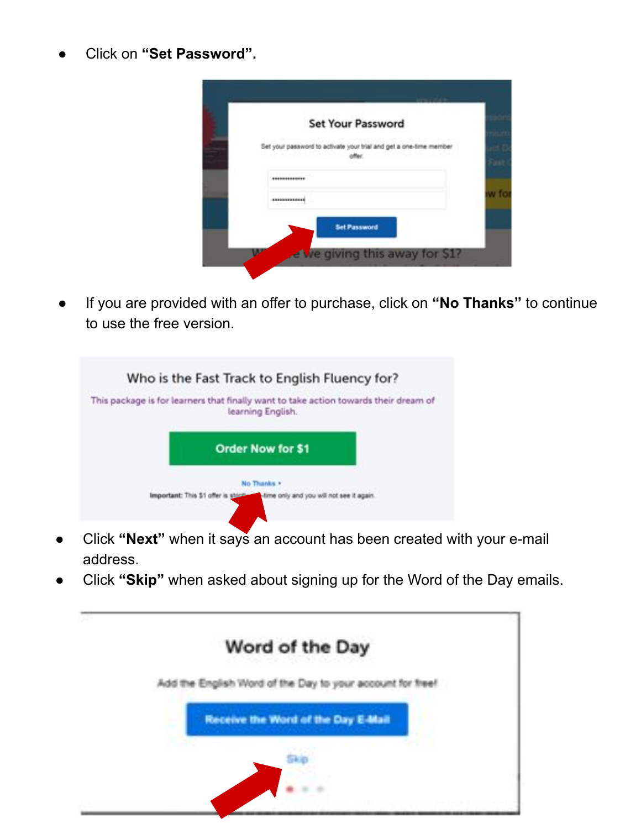● Click on **"Set Password".**

| <b>Set Your Password</b>                                           |   |
|--------------------------------------------------------------------|---|
| Set your password to activate your trial and get a one-time member |   |
| **************                                                     |   |
| <b>AUSSISSIPPER</b>                                                | w |
| <b>Set Password</b>                                                |   |

If you are provided with an offer to purchase, click on "No Thanks" to continue to use the free version.

| Who is the Fast Track to English Fluency for?                                                             |  |
|-----------------------------------------------------------------------------------------------------------|--|
| This package is for learners that finally want to take action towards their dream of<br>learning English. |  |
| <b>Order Now for \$1</b>                                                                                  |  |
| No Thanks +                                                                                               |  |
| Important: This \$1 offer is strict<br>-time only and you will not see it again.                          |  |

- Click "Next" when it says an account has been created with your e-mail address.
- Click "Skip" when asked about signing up for the Word of the Day emails.

![](_page_6_Picture_6.jpeg)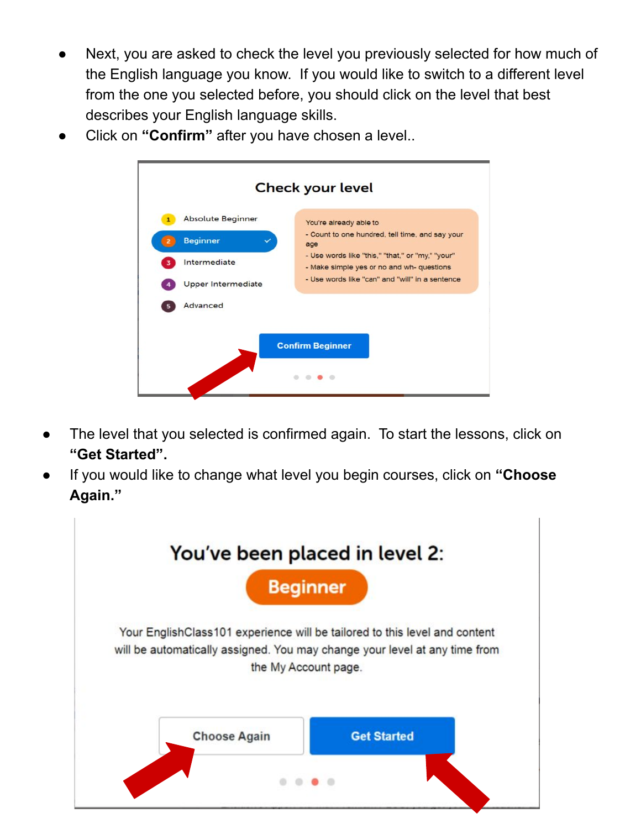- Next, you are asked to check the level you previously selected for how much of the English language you know. If you would like to switch to a different level from the one you selected before, you should click on the level that best describes your English language skills.
- Click on "Confirm" after you have chosen a level..

![](_page_7_Figure_2.jpeg)

- The level that you selected is confirmed again. To start the lessons, click on **"Get Started".**
- If you would like to change what level you begin courses, click on "Choose **Again."**

![](_page_7_Picture_5.jpeg)